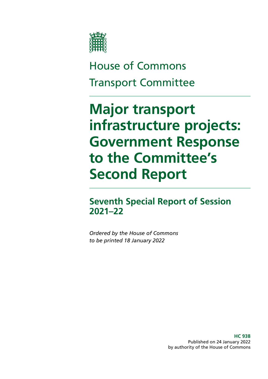

# House of Commons Transport Committee

# **Major transport infrastructure projects: Government Response to the Committee's Second Report**

**Seventh Special Report of Session 2021–22**

*Ordered by the House of Commons to be printed 18 January 2022*

> **HC 938** Published on 24 January 2022 by authority of the House of Commons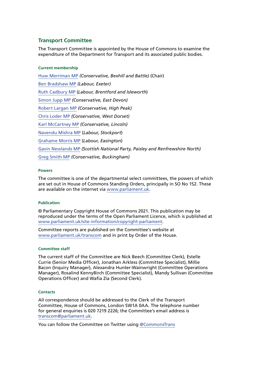#### **Transport Committee**

The Transport Committee is appointed by the House of Commons to examine the expenditure of the Department for Transport and its associated public bodies.

#### **Current membership**

[Huw Merriman MP](https://members.parliament.uk/member/4442/contact) *(Conservative, Bexhill and Battle)* (Chair) [Ben Bradshaw MP](https://members.parliament.uk/member/230/contact) *(Labour, Exeter)* [Ruth Cadbury MP](https://members.parliament.uk/member/4389/contact) (*Labour, Brentford and Isleworth*) [Simon Jupp MP](https://members.parliament.uk/member/4862/contact) *(Conservative, East Devon)* [Robert Largan MP](https://members.parliament.uk/member/4852/contact) *(Conservative, High Peak)* [Chris Loder MP](https://members.parliament.uk/member/4751/contact) *(Conservative, West Dorset)* [Karl McCartney MP](https://members.parliament.uk/member/4028/contact) *(Conservative, Lincoln)* [Navendu Mishra MP](https://members.parliament.uk/member/4811/contact) (*Labour, Stockport*) [Grahame Morris MP](https://www.parliament.uk/biographies/commons/grahame-morris/3973) (*Labour, Easington*) [Gavin Newlands MP](https://members.parliament.uk/member/4420/contact) *(Scottish National Party, Paisley and Renfrewshire North)* [Greg Smith MP](https://members.parliament.uk/member/4778/contact) *(Conservative, Buckingham)*

#### **Powers**

The committee is one of the departmental select committees, the powers of which are set out in House of Commons Standing Orders, principally in SO No 152. These are available on the internet via [www.parliament.uk.](http://www.parliament.uk/)

#### **Publication**

© Parliamentary Copyright House of Commons 2021. This publication may be reproduced under the terms of the Open Parliament Licence, which is published at [www.parliament.uk/site-information/copyright-parliament.](http://www.parliament.uk/site-information/copyright-parliament)

Committee reports are published on the Committee's website at [www.parliament.uk/transcom](http://www.parliament.uk/transcom) and in print by Order of the House.

#### **Committee staff**

The current staff of the Committee are Nick Beech (Committee Clerk), Estelle Currie (Senior Media Officer), Jonathan Arkless (Committee Specialist), Millie Bacon (Inquiry Manager), Alexandra Hunter-Wainwright (Committee Operations Manager), Rosalind KennyBirch (Committee Specialist), Mandy Sullivan (Committee Operations Officer) and Wafia Zia (Second Clerk).

#### **Contacts**

All correspondence should be addressed to the Clerk of the Transport Committee, House of Commons, London SW1A 0AA. The telephone number for general enquiries is 020 7219 2226; the Committee's email address is [transcom@parliament.uk.](mailto:transcom%40parliament.uk?subject=)

You can follow the Committee on Twitter using [@CommonsTrans](https://twitter.com/CommonsTrans)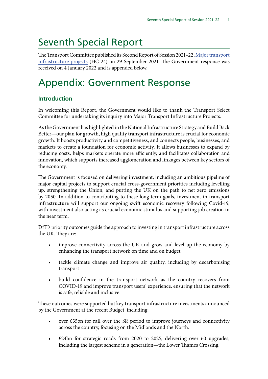# Seventh Special Report

The Transport Committee published its Second Report of Session 2021–22, [Major transport](https://committees.parliament.uk/publications/7445/documents/77874/default/) [infrastructure projects](https://committees.parliament.uk/publications/7445/documents/77874/default/) (HC 24) on 29 September 2021. The Government response was received on 4 January 2022 and is appended below.

# Appendix: Government Response

# **Introduction**

In welcoming this Report, the Government would like to thank the Transport Select Committee for undertaking its inquiry into Major Transport Infrastructure Projects.

As the Government has highlighted in the National Infrastructure Strategy and Build Back Better—our plan for growth, high quality transport infrastructure is crucial for economic growth. It boosts productivity and competitiveness, and connects people, businesses, and markets to create a foundation for economic activity. It allows businesses to expand by reducing costs, helps markets operate more efficiently, and facilitates collaboration and innovation, which supports increased agglomeration and linkages between key sectors of the economy.

The Government is focused on delivering investment, including an ambitious pipeline of major capital projects to support crucial cross-government priorities including levelling up, strengthening the Union, and putting the UK on the path to net zero emissions by 2050. In addition to contributing to these long-term goals, investment in transport infrastructure will support our ongoing swift economic recovery following Covid-19, with investment also acting as crucial economic stimulus and supporting job creation in the near term.

DfT's priority outcomes guide the approach to investing in transport infrastructure across the UK. They are:

- improve connectivity across the UK and grow and level up the economy by enhancing the transport network on time and on budget
- tackle climate change and improve air quality, including by decarbonising transport
- build confidence in the transport network as the country recovers from COVID-19 and improve transport users' experience, ensuring that the network is safe, reliable and inclusive.

These outcomes were supported but key transport infrastructure investments announced by the Government at the recent Budget, including:

- over £35bn for rail over the SR period to improve journeys and connectivity across the country, focusing on the Midlands and the North.
- £24bn for strategic roads from 2020 to 2025, delivering over 60 upgrades, including the largest scheme in a generation—the Lower Thames Crossing.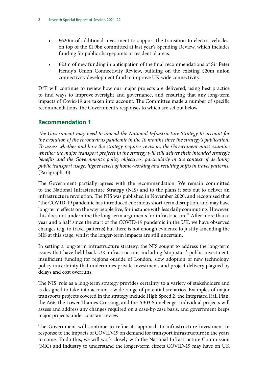- £620m of additional investment to support the transition to electric vehicles, on top of the £1.9bn committed at last year's Spending Review, which includes funding for public chargepoints in residential areas.
- £23m of new funding in anticipation of the final recommendations of Sir Peter Hendy's Union Connectivity Review, building on the existing £20m union connectivity development fund to improve UK-wide connectivity.

DfT will continue to review how our major projects are delivered, using best practice to find ways to improve oversight and governance, and ensuring that any long-term impacts of Covid-19 are taken into account. The Committee made a number of specific recommendations, the Government's responses to which are set out below.

## **Recommendation 1**

*The Government may need to amend the National Infrastructure Strategy to account for the evolution of the coronavirus pandemic in the 10 months since the strategy's publication. To assess whether and how the strategy requires revision, the Government must examine whether the major transport projects in the strategy will still deliver their intended strategic benefits and the Government's policy objectives, particularly in the context of declining public transport usage, higher levels of home-working and resulting shifts in travel patterns.* (Paragraph 10)

The Government partially agrees with the recommendation. We remain committed to the National Infrastructure Strategy (NIS) and to the plans it sets out to deliver an infrastructure revolution. The NIS was published in November 2020, and recognised that "the COVID-19 pandemic has introduced enormous short-term disruption, and may have long-term effects on the way people live, for instance with less daily commuting. However, this does not undermine the long-term arguments for infrastructure." After more than a year and a half since the start of the COVID-19 pandemic in the UK, we have observed changes (e.g. to travel patterns) but there is not enough evidence to justify amending the NIS at this stage, whilst the longer-term impacts are still uncertain.

In setting a long-term infrastructure strategy, the NIS sought to address the long-term issues that have held back UK infrastructure, including 'stop-start' public investment, insufficient funding for regions outside of London, slow adoption of new technology, policy uncertainty that undermines private investment, and project delivery plagued by delays and cost overruns.

The NIS' role as a long-term strategy provides certainty to a variety of stakeholders and is designed to take into account a wide range of potential scenarios. Examples of major transports projects covered in the strategy include High Speed 2, the Integrated Rail Plan, the A66, the Lower Thames Crossing, and the A303 Stonehenge. Individual projects will assess and address any changes required on a case-by-case basis, and government keeps major projects under constant review.

The Government will continue to refine its approach to infrastructure investment in response to the impacts of COVID-19 on demand for transport infrastructure in the years to come. To do this, we will work closely with the National Infrastructure Commission (NIC) and industry to understand the longer-term effects COVID-19 may have on UK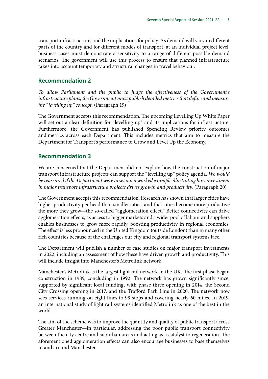transport infrastructure, and the implications for policy. As demand will vary in different parts of the country and for different modes of transport, at an individual project level, business cases must demonstrate a sensitivity to a range of different possible demand scenarios. The government will use this process to ensure that planned infrastructure takes into account temporary and structural changes in travel behaviour.

#### **Recommendation 2**

*To allow Parliament and the public to judge the effectiveness of the Government's infrastructure plans, the Government must publish detailed metrics that define and measure the "levelling up" concept.* (Paragraph 19)

The Government accepts this recommendation. The upcoming Levelling Up White Paper will set out a clear definition for "levelling up" and its implications for infrastructure. Furthermore, the Government has published Spending Review priority outcomes and metrics across each Department. This includes metrics that aim to measure the Department for Transport's performance to Grow and Level Up the Economy.

### **Recommendation 3**

We are concerned that the Department did not explain how the construction of major transport infrastructure projects can support the "levelling up" policy agenda. *We would*  be reassured if the Department were to set out a worked example illustrating how investment *in major transport infrastructure projects drives growth and productivity.* (Paragraph 20)

The Government accepts this recommendation. Research has shown that larger cities have higher productivity per head than smaller cities, and that cities become more productive the more they grow—the so-called "agglomeration effect." Better connectivity can drive agglomeration effects, as access to bigger markets and a wider pool of labour and suppliers enables businesses to grow more rapidly, boosting productivity in regional economies. The effect is less pronounced in the United Kingdom (outside London) than in many other rich countries because of the challenges our city and regional transport systems face.

The Department will publish a number of case studies on major transport investments in 2022, including an assessment of how these have driven growth and productivity. This will include insight into Manchester's Metrolink network.

Manchester's Metrolink is the largest light rail network in the UK. The first phase began construction in 1989, concluding in 1992. The network has grown significantly since, supported by significant local funding, with phase three opening in 2014, the Second City Crossing opening in 2017, and the Trafford Park Line in 2020. The network now sees services running on eight lines to 99 stops and covering nearly 60 miles. In 2019, an international study of light rail systems identified Metrolink as one of the best in the world.

The aim of the scheme was to improve the quantity and quality of public transport across Greater Manchester—in particular, addressing the poor public transport connectivity between the city centre and suburban areas and acting as a catalyst to regeneration. The aforementioned agglomeration effects can also encourage businesses to base themselves in and around Manchester.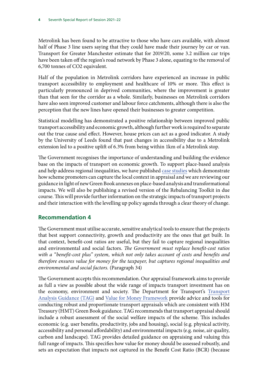Metrolink has been found to be attractive to those who have cars available, with almost half of Phase 3 line users saying that they could have made their journey by car or van. Transport for Greater Manchester estimate that for 2019/20, some 3.2 million car trips have been taken off the region's road network by Phase 3 alone, equating to the removal of 6,700 tonnes of CO2 equivalent.

Half of the population in Metrolink corridors have experienced an increase in public transport accessibility to employment and healthcare of 10% or more. This effect is particularly pronounced in deprived communities, where the improvement is greater than that seen for the corridor as a whole. Similarly, businesses on Metrolink corridors have also seen improved customer and labour force catchments, although there is also the perception that the new lines have opened their businesses to greater competition.

Statistical modelling has demonstrated a positive relationship between improved public transport accessibility and economic growth, although further work is required to separate out the true cause and effect. However, house prices can act as a good indicator. A study by the University of Leeds found that past changes in accessibility due to a Metrolink extension led to a positive uplift of 6.3% from being within 1km of a Metrolink stop.

The Government recognises the importance of understanding and building the evidence base on the impacts of transport on economic growth. To support place-based analysis and help address regional inequalities, we have published [case studies](https://www.gov.uk/government/publications/tag-capturing-local-context-in-transport-appraisal) which demonstrate how scheme promoters can capture the local context in appraisal and we are reviewing our guidance in light of new Green Book annexes on place-based analysis and transformational impacts. We will also be publishing a revised version of the Rebalancing Toolkit in due course. This will provide further information on the strategic impacts of transport projects and their interaction with the levelling up policy agenda through a clear theory of change.

# **Recommendation 4**

The Government must utilise accurate, sensitive analytical tools to ensure that the projects that best support connectivity, growth and productivity are the ones that get built. In that context, benefit-cost ratios are useful, but they fail to capture regional inequalities and environmental and social factors. *The Government must replace benefit-cost ratios with a "benefit-cost plus" system, which not only takes account of costs and benefits and therefore ensures value for money for the taxpayer, but captures regional inequalities and environmental and social factors.* (Paragraph 34)

The Government accepts this recommendation. Our appraisal framework aims to provide as full a view as possible about the wide range of impacts transport investment has on the economy, environment and society. The Department for Transport's [Transport](https://www.gov.uk/guidance/transport-analysis-guidance-tag) [Analysis Guidance \(TAG\)](https://www.gov.uk/guidance/transport-analysis-guidance-tag) and [Value for Money Framework](https://assets.publishing.service.gov.uk/government/uploads/system/uploads/attachment_data/file/918479/value-for-money-framework.pdf) provide advice and tools for conducting robust and proportionate transport appraisals which are consistent with HM Treasury (HMT) Green Book guidance. TAG recommends that transport appraisal should include a robust assessment of the social welfare impacts of the scheme. This includes economic (e.g. user benefits, productivity, jobs and housing), social (e.g. physical activity, accessibility and personal affordability) and environmental impacts (e.g. noise, air quality, carbon and landscape). TAG provides detailed guidance on appraising and valuing this full range of impacts. This specifies how value for money should be assessed robustly, and sets an expectation that impacts not captured in the Benefit Cost Ratio (BCR) (because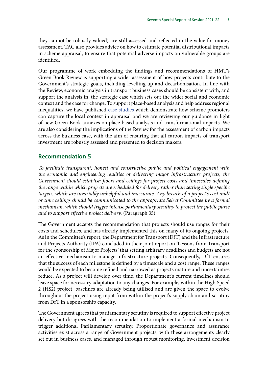they cannot be robustly valued) are still assessed and reflected in the value for money assessment. TAG also provides advice on how to estimate potential distributional impacts in scheme appraisal, to ensure that potential adverse impacts on vulnerable groups are identified.

Our programme of work embedding the findings and recommendations of HMT's Green Book Review is supporting a wider assessment of how projects contribute to the Government's strategic goals, including levelling up and decarbonisation. In line with the Review, economic analysis in transport business cases should be consistent with, and support the analysis in, the strategic case which sets out the wider social and economic context and the case for change. To support place-based analysis and help address regional inequalities, we have published [case studies](https://www.gov.uk/government/publications/tag-capturing-local-context-in-transport-appraisal) which demonstrate how scheme promoters can capture the local context in appraisal and we are reviewing our guidance in light of new Green Book annexes on place-based analysis and transformational impacts. We are also considering the implications of the Review for the assessment of carbon impacts across the business case, with the aim of ensuring that all carbon impacts of transport investment are robustly assessed and presented to decision makers.

#### **Recommendation 5**

*To facilitate transparent, honest and constructive public and political engagement with the economic and engineering realities of delivering major infrastructure projects, the Government should establish floors and ceilings for project costs and timescales defining the range within which projects are scheduled for delivery rather than setting single specific targets, which are invariably unhelpful and inaccurate. Any breach of a project's cost and/ or time ceilings should be communicated to the appropriate Select Committee by a formal mechanism, which should trigger intense parliamentary scrutiny to protect the public purse and to support effective project delivery.* (Paragraph 35)

The Government accepts the recommendation that projects should use ranges for their costs and schedules, and has already implemented this on many of its ongoing projects. As in the Committee's report, the Department for Transport (DfT) and the Infrastructure and Projects Authority (IPA) concluded in their joint report on 'Lessons from Transport for the sponsorship of Major Projects' that setting arbitrary deadlines and budgets are not an effective mechanism to manage infrastructure projects. Consequently, DfT ensures that the success of each milestone is defined by a timescale and a cost range. These ranges would be expected to become refined and narrowed as projects mature and uncertainties reduce. As a project will develop over time, the Department's current timelines should leave space for necessary adaptation to any changes. For example, within the High Speed 2 (HS2) project, baselines are already being utilised and are given the space to evolve throughout the project using input from within the project's supply chain and scrutiny from DfT in a sponsorship capacity.

The Government agrees that parliamentary scrutiny is required to support effective project delivery but disagrees with the recommendation to implement a formal mechanism to trigger additional Parliamentary scrutiny. Proportionate governance and assurance activities exist across a range of Government projects, with these arrangements clearly set out in business cases, and managed through robust monitoring, investment decision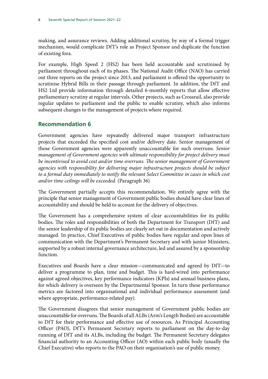making, and assurance reviews. Adding additional scrutiny, by way of a formal trigger mechanism, would complicate DfT's role as Project Sponsor and duplicate the function of existing fora.

For example, High Speed 2 (HS2) has been held accountable and scrutinised by parliament throughout each of its phases. The National Audit Office (NAO) has carried out three reports on the project since 2013, and parliament is offered the opportunity to scrutinise Hybrid Bills in their passage through parliament. In addition, the DfT and HS2 Ltd provide information through detailed 6-monthly reports that allow effective parliamentary scrutiny at regular intervals. Other projects, such as Crossrail, also provide regular updates to parliament and the public to enable scrutiny, which also informs subsequent changes to the management of projects where required.

## **Recommendation 6**

Government agencies have repeatedly delivered major transport infrastructure projects that exceeded the specified cost and/or delivery date. Senior management of those Government agencies were apparently unaccountable for such overruns. *Senior management of Government agencies with ultimate responsibility for project delivery must*  be incentivised to avoid cost and/or time overruns. The senior management of Government *agencies with responsibility for delivering major infrastructure projects should be subject to a formal duty immediately to notify the relevant Select Committee in cases in which cost and/or time ceilings will be exceeded.* (Paragraph 36)

The Government partially accepts this recommendation. We entirely agree with the principle that senior management of Government public bodies should have clear lines of accountability and should be held to account for the delivery of objectives.

The Government has a comprehensive system of clear accountabilities for its public bodies. The roles and responsibilities of both the Department for Transport (DfT) and the senior leadership of its public bodies are clearly set out in documentation and actively managed. In practice, Chief Executives of public bodies have regular and open lines of communication with the Department's Permanent Secretary and with junior Ministers, supported by a robust internal governance architecture, led and assured by a sponsorship function.

Executives and Boards have a clear mission—communicated and agreed by DfT—to deliver a programme to plan, time and budget. This is hard-wired into performance against agreed objectives, key performance indicators (KPIs) and annual business plans, for which delivery is overseen by the Departmental Sponsor. In turn these performance metrics are factored into organisational and individual performance assessment (and where appropriate, performance-related pay).

The Government disagrees that senior management of Government public bodies are unaccountable for overruns. The Boards of all ALBs (Arm's Length Bodies) are accountable to DfT for their performance and effective use of resources. As Principal Accounting Officer (PAO), DfT's Permanent Secretary reports to parliament on the day-to-day running of DfT and its ALBs, including the budget. The Permanent Secretary delegates financial authority to an Accounting Officer (AO) within each public body (usually the Chief Executive) who reports to the PAO on their organisation's use of public money.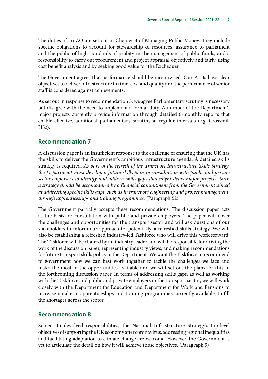The duties of an AO are set out in Chapter 3 of Managing Public Money. They include specific obligations to account for stewardship of resources, assurance to parliament and the public of high standards of probity in the management of public funds, and a responsibility to carry out procurement and project appraisal objectively and fairly, using cost benefit analysis and by seeking good value for the Exchequer.

The Government agrees that performance should be incentivised. Our ALBs have clear objectives to deliver infrastructure to time, cost and quality and the performance of senior staff is considered against achievements.

As set out in response to recommendation 5, we agree Parliamentary scrutiny is necessary but disagree with the need to implement a formal duty. A number of the Department's major projects currently provide information through detailed 6-monthly reports that enable effective, additional parliamentary scrutiny at regular intervals (e.g. Crossrail, HS2).

#### **Recommendation 7**

A discussion paper is an insufficient response to the challenge of ensuring that the UK has the skills to deliver the Government's ambitious infrastructure agenda. A detailed skills strategy is required. *As part of the refresh of the Transport Infrastructure Skills Strategy, the Department must develop a future skills plan in consultation with public and private sector employers to identify and address skills gaps that might delay major projects. Such a strategy should be accompanied by a financial commitment from the Government aimed at addressing specific skills gaps, such as in transport engineering and project management, through apprenticeships and training programmes.* (Paragraph 52)

The Government partially accepts these recommendations. The discussion paper acts as the basis for consultation with public and private employers. The paper will cover the challenges and opportunities for the transport sector and will ask questions of our stakeholders to inform our approach to, potentially, a refreshed skills strategy. We will also be establishing a refreshed industry-led Taskforce who will drive this work forward. The Taskforce will be chaired by an industry leader and will be responsible for driving the work of the discussion paper, representing industry views, and making recommendations for future transport skills policy to the Department. We want the Taskforce to recommend to government how we can best work together to tackle the challenges we face and make the most of the opportunities available and we will set out the plans for this in the forthcoming discussion paper. In terms of addressing skills gaps, as well as working with the Taskforce and public and private employers in the transport sector, we will work closely with the Department for Education and Department for Work and Pensions to increase uptake in apprenticeships and training programmes currently available, to fill the shortages across the sector.

#### **Recommendation 8**

Subject to devolved responsibilities, the National Infrastructure Strategy's top-level objectives of supporting the UK economy after coronavirus, addressing regional inequalities and facilitating adaptation to climate change are welcome. However, the Government is yet to articulate the detail on how it will achieve those objectives. (Paragraph 9)